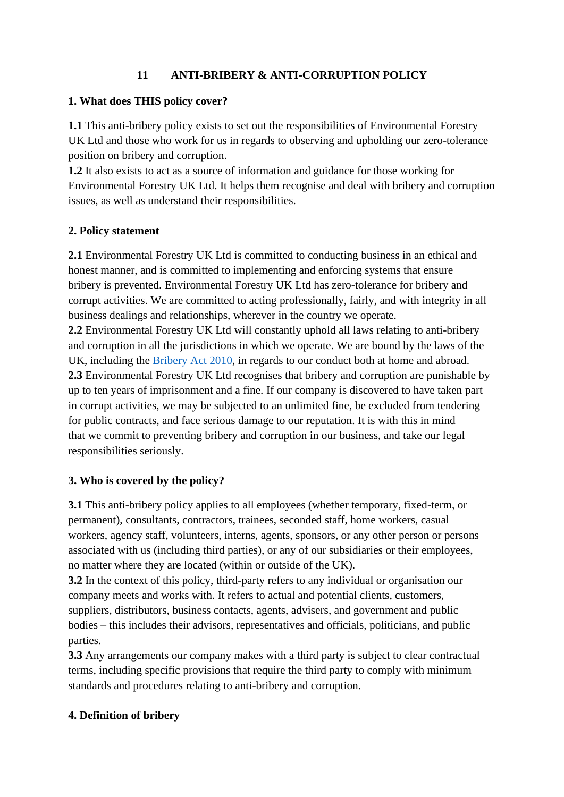# **11 ANTI-BRIBERY & ANTI-CORRUPTION POLICY**

### **1. What does THIS policy cover?**

**1.1** This anti-bribery policy exists to set out the responsibilities of Environmental Forestry UK Ltd and those who work for us in regards to observing and upholding our zero-tolerance position on bribery and corruption.

**1.2** It also exists to act as a source of information and guidance for those working for Environmental Forestry UK Ltd. It helps them recognise and deal with bribery and corruption issues, as well as understand their responsibilities.

# **2. Policy statement**

**2.1** Environmental Forestry UK Ltd is committed to conducting business in an ethical and honest manner, and is committed to implementing and enforcing systems that ensure bribery is prevented. Environmental Forestry UK Ltd has zero-tolerance for bribery and corrupt activities. We are committed to acting professionally, fairly, and with integrity in all business dealings and relationships, wherever in the country we operate.

**2.2** Environmental Forestry UK Ltd will constantly uphold all laws relating to anti-bribery and corruption in all the jurisdictions in which we operate. We are bound by the laws of the UK, including the [Bribery Act 2010,](https://www.legislation.gov.uk/primary+secondary?title=bribery%20act) in regards to our conduct both at home and abroad. **2.3** Environmental Forestry UK Ltd recognises that bribery and corruption are punishable by up to ten years of imprisonment and a fine. If our company is discovered to have taken part in corrupt activities, we may be subjected to an unlimited fine, be excluded from tendering for public contracts, and face serious damage to our reputation. It is with this in mind that we commit to preventing bribery and corruption in our business, and take our legal responsibilities seriously.

# **3. Who is covered by the policy?**

**3.1** This anti-bribery policy applies to all employees (whether temporary, fixed-term, or permanent), consultants, contractors, trainees, seconded staff, home workers, casual workers, agency staff, volunteers, interns, agents, sponsors, or any other person or persons associated with us (including third parties), or any of our subsidiaries or their employees, no matter where they are located (within or outside of the UK).

**3.2** In the context of this policy, third-party refers to any individual or organisation our company meets and works with. It refers to actual and potential clients, customers, suppliers, distributors, business contacts, agents, advisers, and government and public bodies – this includes their advisors, representatives and officials, politicians, and public parties.

**3.3** Any arrangements our company makes with a third party is subject to clear contractual terms, including specific provisions that require the third party to comply with minimum standards and procedures relating to anti-bribery and corruption.

# **4. Definition of bribery**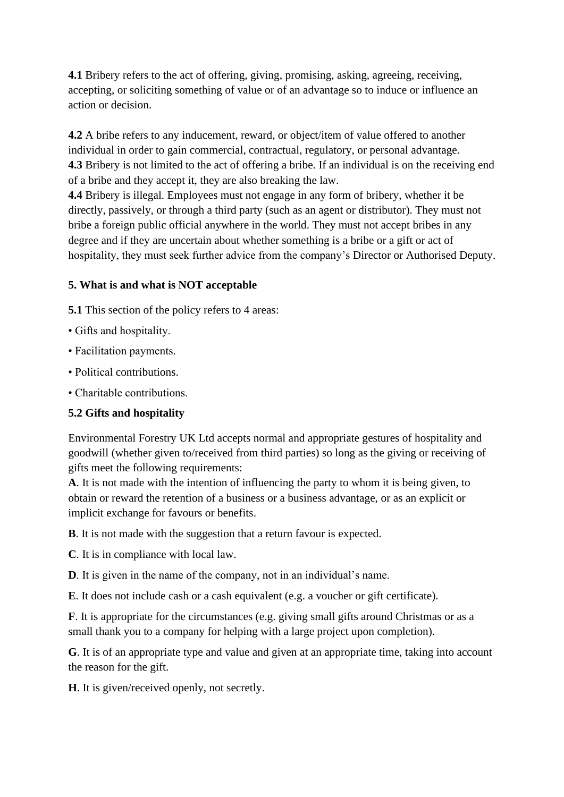**4.1** Bribery refers to the act of offering, giving, promising, asking, agreeing, receiving, accepting, or soliciting something of value or of an advantage so to induce or influence an action or decision.

**4.2** A bribe refers to any inducement, reward, or object/item of value offered to another individual in order to gain commercial, contractual, regulatory, or personal advantage. **4.3** Bribery is not limited to the act of offering a bribe. If an individual is on the receiving end of a bribe and they accept it, they are also breaking the law.

**4.4** Bribery is illegal. Employees must not engage in any form of bribery, whether it be directly, passively, or through a third party (such as an agent or distributor). They must not bribe a foreign public official anywhere in the world. They must not accept bribes in any degree and if they are uncertain about whether something is a bribe or a gift or act of hospitality, they must seek further advice from the company's Director or Authorised Deputy.

# **5. What is and what is NOT acceptable**

**5.1** This section of the policy refers to 4 areas:

- Gifts and hospitality.
- Facilitation payments.
- Political contributions.
- Charitable contributions.

#### **5.2 Gifts and hospitality**

Environmental Forestry UK Ltd accepts normal and appropriate gestures of hospitality and goodwill (whether given to/received from third parties) so long as the giving or receiving of gifts meet the following requirements:

**A**. It is not made with the intention of influencing the party to whom it is being given, to obtain or reward the retention of a business or a business advantage, or as an explicit or implicit exchange for favours or benefits.

**B**. It is not made with the suggestion that a return favour is expected.

**C**. It is in compliance with local law.

**D**. It is given in the name of the company, not in an individual's name.

**E**. It does not include cash or a cash equivalent (e.g. a voucher or gift certificate).

**F**. It is appropriate for the circumstances (e.g. giving small gifts around Christmas or as a small thank you to a company for helping with a large project upon completion).

**G**. It is of an appropriate type and value and given at an appropriate time, taking into account the reason for the gift.

**H**. It is given/received openly, not secretly.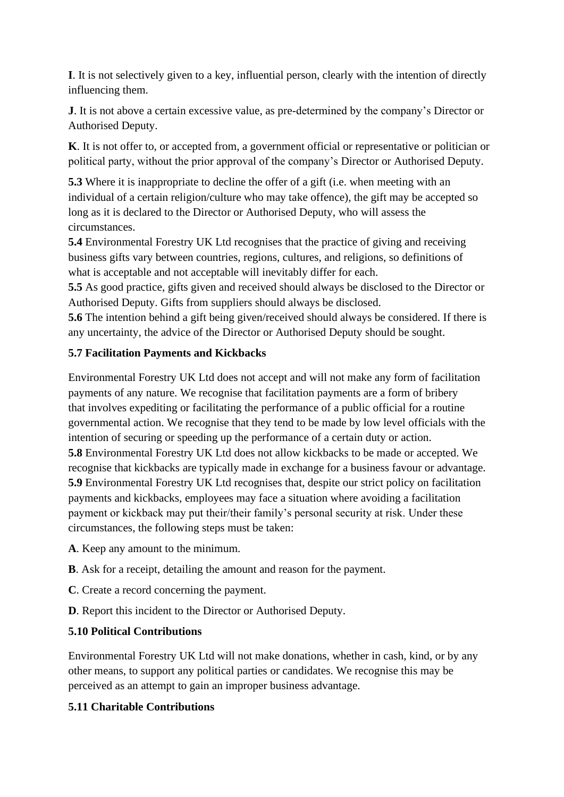**I**. It is not selectively given to a key, influential person, clearly with the intention of directly influencing them.

**J**. It is not above a certain excessive value, as pre-determined by the company's Director or Authorised Deputy.

**K**. It is not offer to, or accepted from, a government official or representative or politician or political party, without the prior approval of the company's Director or Authorised Deputy.

**5.3** Where it is inappropriate to decline the offer of a gift (i.e. when meeting with an individual of a certain religion/culture who may take offence), the gift may be accepted so long as it is declared to the Director or Authorised Deputy, who will assess the circumstances.

**5.4** Environmental Forestry UK Ltd recognises that the practice of giving and receiving business gifts vary between countries, regions, cultures, and religions, so definitions of what is acceptable and not acceptable will inevitably differ for each.

**5.5** As good practice, gifts given and received should always be disclosed to the Director or Authorised Deputy. Gifts from suppliers should always be disclosed.

**5.6** The intention behind a gift being given/received should always be considered. If there is any uncertainty, the advice of the Director or Authorised Deputy should be sought.

# **5.7 Facilitation Payments and Kickbacks**

Environmental Forestry UK Ltd does not accept and will not make any form of facilitation payments of any nature. We recognise that facilitation payments are a form of bribery that involves expediting or facilitating the performance of a public official for a routine governmental action. We recognise that they tend to be made by low level officials with the intention of securing or speeding up the performance of a certain duty or action. **5.8** Environmental Forestry UK Ltd does not allow kickbacks to be made or accepted. We recognise that kickbacks are typically made in exchange for a business favour or advantage. **5.9** Environmental Forestry UK Ltd recognises that, despite our strict policy on facilitation payments and kickbacks, employees may face a situation where avoiding a facilitation payment or kickback may put their/their family's personal security at risk. Under these circumstances, the following steps must be taken:

- **A**. Keep any amount to the minimum.
- **B**. Ask for a receipt, detailing the amount and reason for the payment.
- **C**. Create a record concerning the payment.
- **D**. Report this incident to the Director or Authorised Deputy.

# **5.10 Political Contributions**

Environmental Forestry UK Ltd will not make donations, whether in cash, kind, or by any other means, to support any political parties or candidates. We recognise this may be perceived as an attempt to gain an improper business advantage.

# **5.11 Charitable Contributions**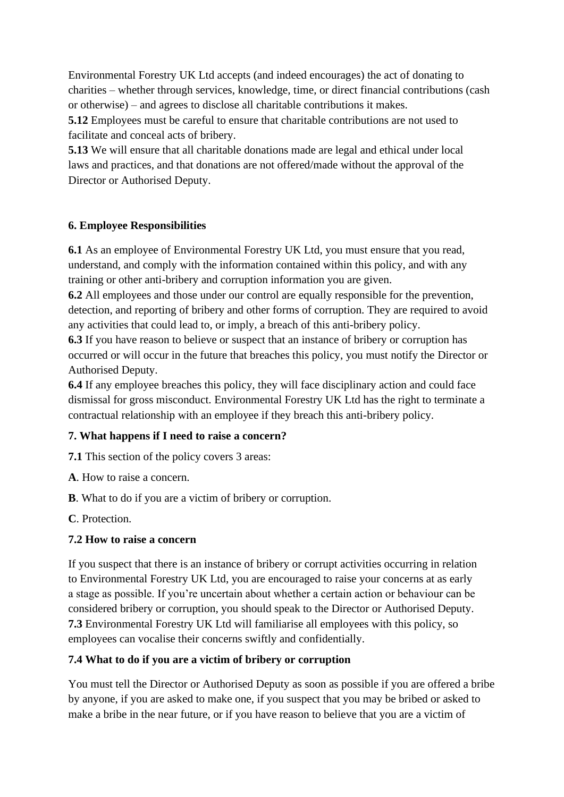Environmental Forestry UK Ltd accepts (and indeed encourages) the act of donating to charities – whether through services, knowledge, time, or direct financial contributions (cash or otherwise) – and agrees to disclose all charitable contributions it makes.

**5.12** Employees must be careful to ensure that charitable contributions are not used to facilitate and conceal acts of bribery.

**5.13** We will ensure that all charitable donations made are legal and ethical under local laws and practices, and that donations are not offered/made without the approval of the Director or Authorised Deputy.

#### **6. Employee Responsibilities**

**6.1** As an employee of Environmental Forestry UK Ltd, you must ensure that you read, understand, and comply with the information contained within this policy, and with any training or other anti-bribery and corruption information you are given.

**6.2** All employees and those under our control are equally responsible for the prevention, detection, and reporting of bribery and other forms of corruption. They are required to avoid any activities that could lead to, or imply, a breach of this anti-bribery policy.

**6.3** If you have reason to believe or suspect that an instance of bribery or corruption has occurred or will occur in the future that breaches this policy, you must notify the Director or Authorised Deputy.

**6.4** If any employee breaches this policy, they will face disciplinary action and could face dismissal for gross misconduct. Environmental Forestry UK Ltd has the right to terminate a contractual relationship with an employee if they breach this anti-bribery policy.

#### **7. What happens if I need to raise a concern?**

**7.1** This section of the policy covers 3 areas:

**A**. How to raise a concern.

**B**. What to do if you are a victim of bribery or corruption.

**C**. Protection.

#### **7.2 How to raise a concern**

If you suspect that there is an instance of bribery or corrupt activities occurring in relation to Environmental Forestry UK Ltd, you are encouraged to raise your concerns at as early a stage as possible. If you're uncertain about whether a certain action or behaviour can be considered bribery or corruption, you should speak to the Director or Authorised Deputy. **7.3** Environmental Forestry UK Ltd will familiarise all employees with this policy, so employees can vocalise their concerns swiftly and confidentially.

# **7.4 What to do if you are a victim of bribery or corruption**

You must tell the Director or Authorised Deputy as soon as possible if you are offered a bribe by anyone, if you are asked to make one, if you suspect that you may be bribed or asked to make a bribe in the near future, or if you have reason to believe that you are a victim of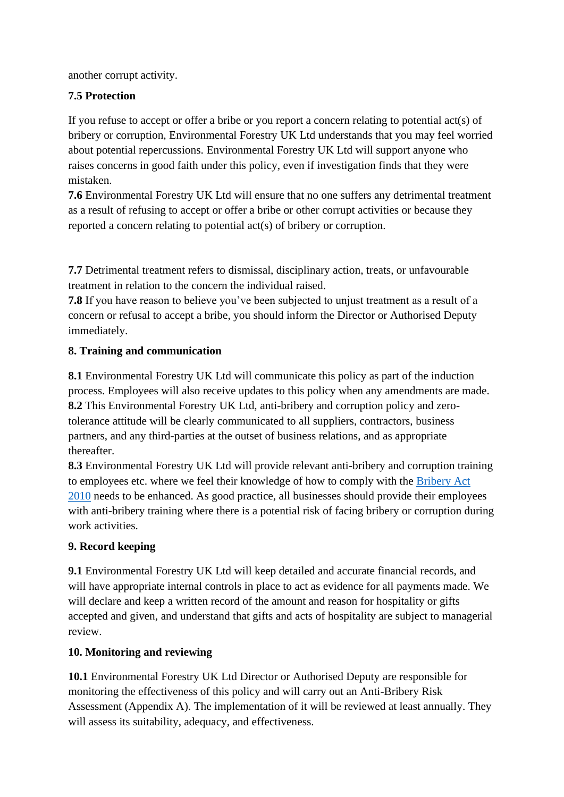another corrupt activity.

# **7.5 Protection**

If you refuse to accept or offer a bribe or you report a concern relating to potential act(s) of bribery or corruption, Environmental Forestry UK Ltd understands that you may feel worried about potential repercussions. Environmental Forestry UK Ltd will support anyone who raises concerns in good faith under this policy, even if investigation finds that they were mistaken.

**7.6** Environmental Forestry UK Ltd will ensure that no one suffers any detrimental treatment as a result of refusing to accept or offer a bribe or other corrupt activities or because they reported a concern relating to potential act(s) of bribery or corruption.

**7.7** Detrimental treatment refers to dismissal, disciplinary action, treats, or unfavourable treatment in relation to the concern the individual raised.

**7.8** If you have reason to believe you've been subjected to unjust treatment as a result of a concern or refusal to accept a bribe, you should inform the Director or Authorised Deputy immediately.

# **8. Training and communication**

**8.1** Environmental Forestry UK Ltd will communicate this policy as part of the induction process. Employees will also receive updates to this policy when any amendments are made. **8.2** This Environmental Forestry UK Ltd, anti-bribery and corruption policy and zerotolerance attitude will be clearly communicated to all suppliers, contractors, business partners, and any third-parties at the outset of business relations, and as appropriate thereafter.

**8.3** Environmental Forestry UK Ltd will provide relevant anti-bribery and corruption training to employees etc. where we feel their knowledge of how to comply with the [Bribery Act](https://www.legislation.gov.uk/primary+secondary?title=bribery%20act)  [2010](https://www.legislation.gov.uk/primary+secondary?title=bribery%20act) needs to be enhanced. As good practice, all businesses should provide their employees with anti-bribery training where there is a potential risk of facing bribery or corruption during work activities.

# **9. Record keeping**

**9.1** Environmental Forestry UK Ltd will keep detailed and accurate financial records, and will have appropriate internal controls in place to act as evidence for all payments made. We will declare and keep a written record of the amount and reason for hospitality or gifts accepted and given, and understand that gifts and acts of hospitality are subject to managerial review.

# **10. Monitoring and reviewing**

**10.1** Environmental Forestry UK Ltd Director or Authorised Deputy are responsible for monitoring the effectiveness of this policy and will carry out an Anti-Bribery Risk Assessment (Appendix A). The implementation of it will be reviewed at least annually. They will assess its suitability, adequacy, and effectiveness.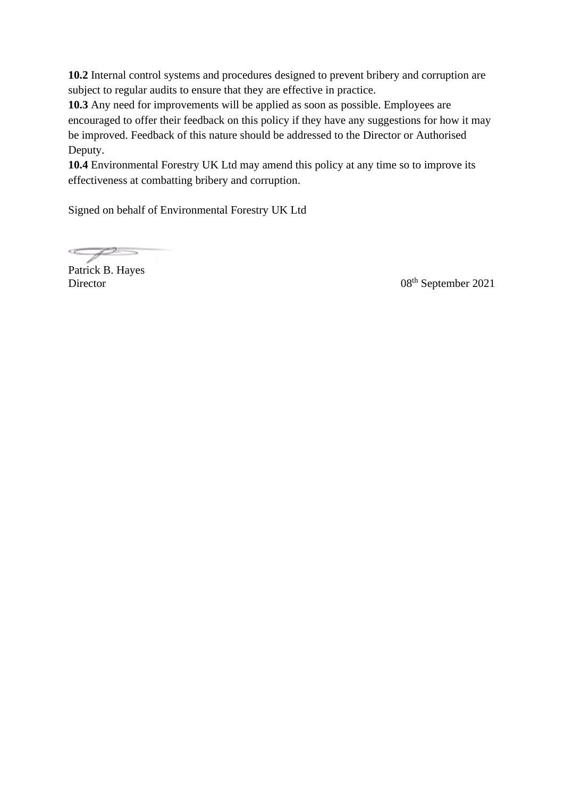**10.2** Internal control systems and procedures designed to prevent bribery and corruption are subject to regular audits to ensure that they are effective in practice.

**10.3** Any need for improvements will be applied as soon as possible. Employees are encouraged to offer their feedback on this policy if they have any suggestions for how it may be improved. Feedback of this nature should be addressed to the Director or Authorised Deputy.

**10.4** Environmental Forestry UK Ltd may amend this policy at any time so to improve its effectiveness at combatting bribery and corruption.

Signed on behalf of Environmental Forestry UK Ltd

P

Patrick B. Hayes

Director 08<sup>th</sup> September 2021